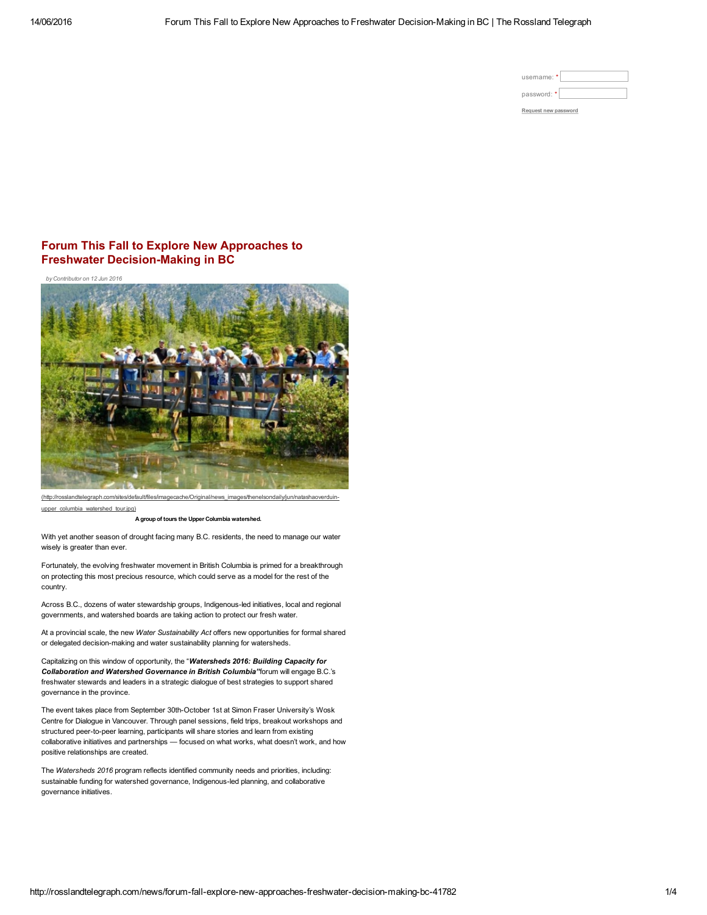| usemame: *           |
|----------------------|
| password: *          |
| Request new password |

## Forum This Fall to Explore New Approaches to Freshwater Decision-Making in BC

*by Contributor on 12 Jun 2016*



[\(http://rosslandtelegraph.com/sites/default/files/imagecache/Original/news\\_images/thenelsondaily/jun/natashaoverduin](http://rosslandtelegraph.com/sites/default/files/imagecache/Original/news_images/thenelsondaily/jun/natashaoverduin-upper_columbia_watershed_tour.jpg)upper\_columbia\_watershed\_tour.jpg)

A group of tours the Upper Columbia watershed.

With yet another season of drought facing many B.C. residents, the need to manage our water wisely is greater than ever.

Fortunately, the evolving freshwater movement in British Columbia is primed for a breakthrough on protecting this most precious resource, which could serve as a model for the rest of the country.

Across B.C., dozens of water stewardship groups, Indigenous-led initiatives, local and regional governments, and watershed boards are taking action to protect our fresh water.

At a provincial scale, the new *Water Sustainability Act* offers new opportunities for formal shared or delegated decision-making and water sustainability planning for watersheds.

Capitalizing on this window of opportunity, the "*Watersheds 2016: Building Capacity for Collaboration and Watershed Governance in British Columbia"*forum will engage B.C.'s freshwater stewards and leaders in a strategic dialogue of best strategies to support shared governance in the province.

The event takes place from September 30th-October 1st at Simon Fraser University's Wosk Centre for Dialogue in Vancouver. Through panel sessions, field trips, breakout workshops and structured peer-to-peer learning, participants will share stories and learn from existing collaborative initiatives and partnerships — focused on what works, what doesn't work, and how positive relationships are created.

The *Watersheds 2016* program reflects identified community needs and priorities, including: sustainable funding for watershed governance, Indigenous-led planning, and collaborative governance initiatives.